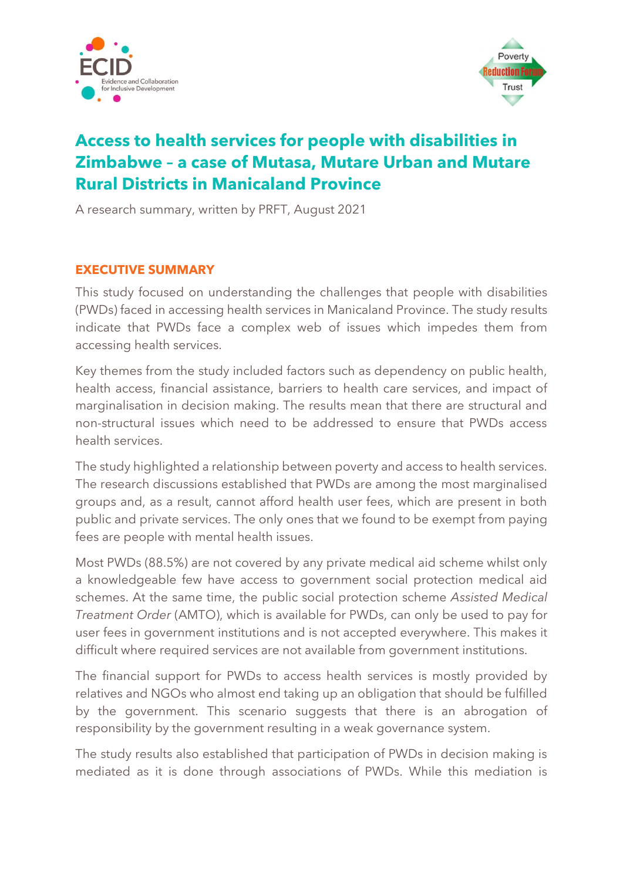



## **Access to health services for people with disabilities in Zimbabwe – a case of Mutasa, Mutare Urban and Mutare Rural Districts in Manicaland Province**

A research summary, written by PRFT, August 2021

## **EXECUTIVE SUMMARY**

This study focused on understanding the challenges that people with disabilities (PWDs) faced in accessing health services in Manicaland Province. The study results indicate that PWDs face a complex web of issues which impedes them from accessing health services.

Key themes from the study included factors such as dependency on public health, health access, financial assistance, barriers to health care services, and impact of marginalisation in decision making. The results mean that there are structural and non-structural issues which need to be addressed to ensure that PWDs access health services.

The study highlighted a relationship between poverty and access to health services. The research discussions established that PWDs are among the most marginalised groups and, as a result, cannot afford health user fees, which are present in both public and private services. The only ones that we found to be exempt from paying fees are people with mental health issues.

Most PWDs (88.5%) are not covered by any private medical aid scheme whilst only a knowledgeable few have access to government social protection medical aid schemes. At the same time, the public social protection scheme *Assisted Medical Treatment Order* (AMTO), which is available for PWDs, can only be used to pay for user fees in government institutions and is not accepted everywhere. This makes it difficult where required services are not available from government institutions.

The financial support for PWDs to access health services is mostly provided by relatives and NGOs who almost end taking up an obligation that should be fulfilled by the government. This scenario suggests that there is an abrogation of responsibility by the government resulting in a weak governance system.

The study results also established that participation of PWDs in decision making is mediated as it is done through associations of PWDs. While this mediation is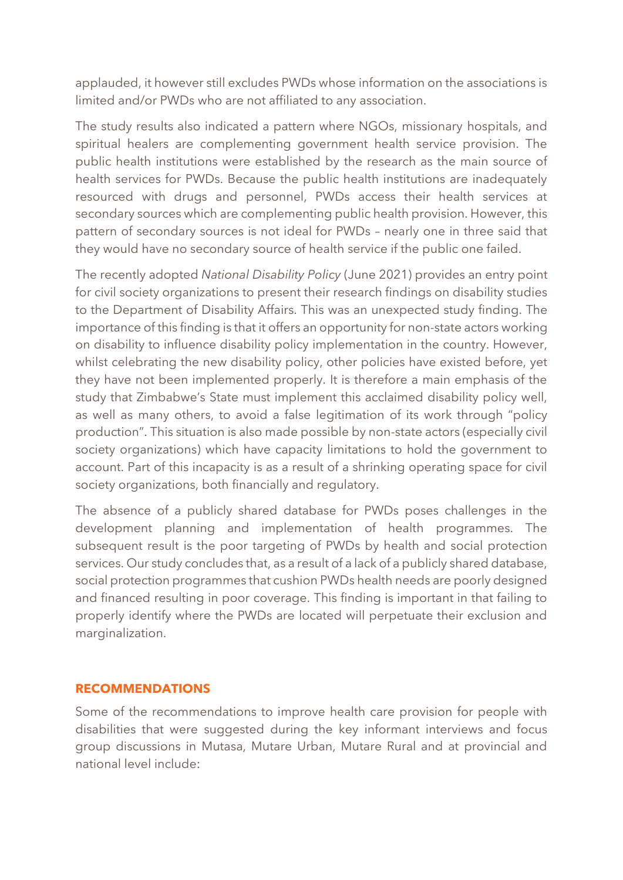applauded, it however still excludes PWDs whose information on the associations is limited and/or PWDs who are not affiliated to any association.

The study results also indicated a pattern where NGOs, missionary hospitals, and spiritual healers are complementing government health service provision. The public health institutions were established by the research as the main source of health services for PWDs. Because the public health institutions are inadequately resourced with drugs and personnel, PWDs access their health services at secondary sources which are complementing public health provision. However, this pattern of secondary sources is not ideal for PWDs – nearly one in three said that they would have no secondary source of health service if the public one failed.

The recently adopted *National Disability Policy* (June 2021) provides an entry point for civil society organizations to present their research findings on disability studies to the Department of Disability Affairs. This was an unexpected study finding. The importance of this finding is that it offers an opportunity for non-state actors working on disability to influence disability policy implementation in the country. However, whilst celebrating the new disability policy, other policies have existed before, yet they have not been implemented properly. It is therefore a main emphasis of the study that Zimbabwe's State must implement this acclaimed disability policy well, as well as many others, to avoid a false legitimation of its work through "policy production". This situation is also made possible by non-state actors (especially civil society organizations) which have capacity limitations to hold the government to account. Part of this incapacity is as a result of a shrinking operating space for civil society organizations, both financially and regulatory.

The absence of a publicly shared database for PWDs poses challenges in the development planning and implementation of health programmes. The subsequent result is the poor targeting of PWDs by health and social protection services. Our study concludes that, as a result of a lack of a publicly shared database, social protection programmes that cushion PWDs health needs are poorly designed and financed resulting in poor coverage. This finding is important in that failing to properly identify where the PWDs are located will perpetuate their exclusion and marginalization.

## **RECOMMENDATIONS**

Some of the recommendations to improve health care provision for people with disabilities that were suggested during the key informant interviews and focus group discussions in Mutasa, Mutare Urban, Mutare Rural and at provincial and national level include: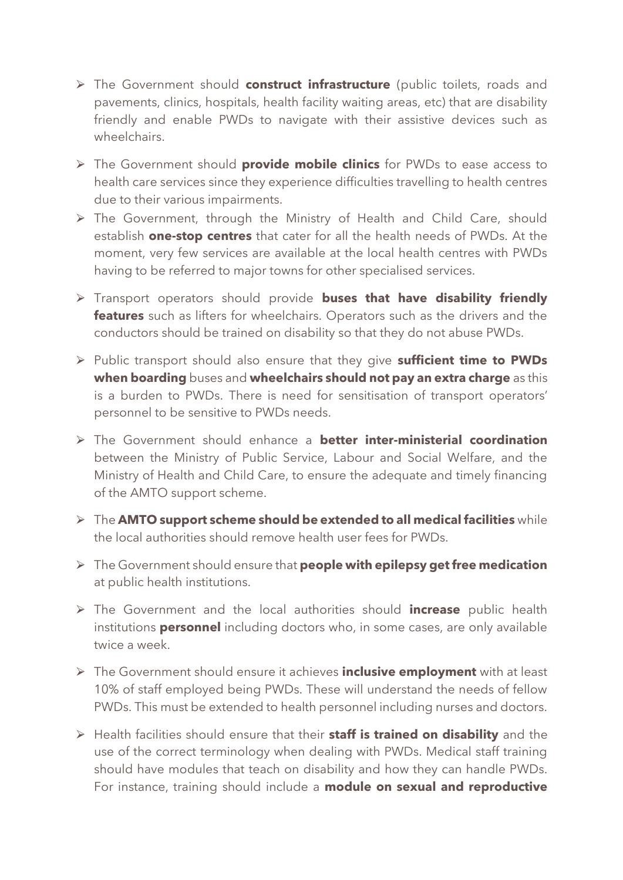- ⮚ The Government should **construct infrastructure** (public toilets, roads and pavements, clinics, hospitals, health facility waiting areas, etc) that are disability friendly and enable PWDs to navigate with their assistive devices such as wheelchairs.
- ⮚ The Government should **provide mobile clinics** for PWDs to ease access to health care services since they experience difficulties travelling to health centres due to their various impairments.
- ⮚ The Government, through the Ministry of Health and Child Care, should establish **one-stop centres** that cater for all the health needs of PWDs. At the moment, very few services are available at the local health centres with PWDs having to be referred to major towns for other specialised services.
- ⮚ Transport operators should provide **buses that have disability friendly features** such as lifters for wheelchairs. Operators such as the drivers and the conductors should be trained on disability so that they do not abuse PWDs.
- ⮚ Public transport should also ensure that they give **sufficient time to PWDs when boarding** buses and **wheelchairs should not pay an extra charge** as this is a burden to PWDs. There is need for sensitisation of transport operators' personnel to be sensitive to PWDs needs.
- ⮚ The Government should enhance a **better inter-ministerial coordination** between the Ministry of Public Service, Labour and Social Welfare, and the Ministry of Health and Child Care, to ensure the adequate and timely financing of the AMTO support scheme.
- ⮚ The **AMTO support scheme should be extended to all medical facilities** while the local authorities should remove health user fees for PWDs.
- ⮚ The Government should ensure that **people with epilepsy get free medication** at public health institutions.
- ⮚ The Government and the local authorities should **increase** public health institutions **personnel** including doctors who, in some cases, are only available twice a week.
- ⮚ The Government should ensure it achieves **inclusive employment** with at least 10% of staff employed being PWDs. These will understand the needs of fellow PWDs. This must be extended to health personnel including nurses and doctors.
- ⮚ Health facilities should ensure that their **staff is trained on disability** and the use of the correct terminology when dealing with PWDs. Medical staff training should have modules that teach on disability and how they can handle PWDs. For instance, training should include a **module on sexual and reproductive**